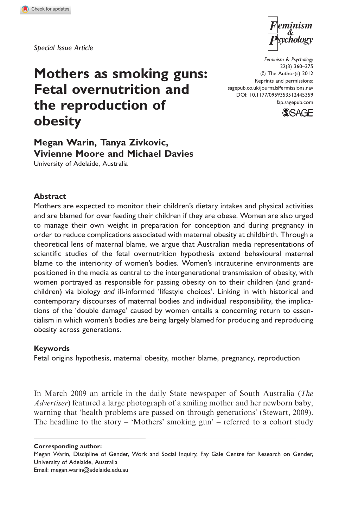Special Issue Article



# Mothers as smoking guns: Fetal overnutrition and the reproduction of obesity

Feminism & Psychology 22(3) 360–375 ! The Author(s) 2012 Reprints and permissions: sagepub.co.uk/journalsPermissions.nav DOI: 10.1177/0959353512445359 fap.sagepub.com



# Megan Warin, Tanya Zivkovic, Vivienne Moore and Michael Davies

University of Adelaide, Australia

## **Abstract**

Mothers are expected to monitor their children's dietary intakes and physical activities and are blamed for over feeding their children if they are obese. Women are also urged to manage their own weight in preparation for conception and during pregnancy in order to reduce complications associated with maternal obesity at childbirth. Through a theoretical lens of maternal blame, we argue that Australian media representations of scientific studies of the fetal overnutrition hypothesis extend behavioural maternal blame to the interiority of women's bodies. Women's intrauterine environments are positioned in the media as central to the intergenerational transmission of obesity, with women portrayed as responsible for passing obesity on to their children (and grandchildren) via biology and ill-informed 'lifestyle choices'. Linking in with historical and contemporary discourses of maternal bodies and individual responsibility, the implications of the 'double damage' caused by women entails a concerning return to essentialism in which women's bodies are being largely blamed for producing and reproducing obesity across generations.

## Keywords

Fetal origins hypothesis, maternal obesity, mother blame, pregnancy, reproduction

In March 2009 an article in the daily State newspaper of South Australia (The Advertiser) featured a large photograph of a smiling mother and her newborn baby, warning that 'health problems are passed on through generations' (Stewart, 2009). The headline to the story – 'Mothers' smoking gun' – referred to a cohort study

Corresponding author:

Email: megan.warin@adelaide.edu.au

Megan Warin, Discipline of Gender, Work and Social Inquiry, Fay Gale Centre for Research on Gender, University of Adelaide, Australia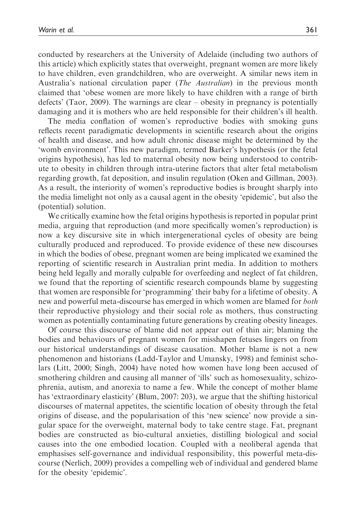conducted by researchers at the University of Adelaide (including two authors of this article) which explicitly states that overweight, pregnant women are more likely to have children, even grandchildren, who are overweight. A similar news item in Australia's national circulation paper (The Australian) in the previous month claimed that 'obese women are more likely to have children with a range of birth defects' (Taor, 2009). The warnings are clear – obesity in pregnancy is potentially damaging and it is mothers who are held responsible for their children's ill health.

The media conflation of women's reproductive bodies with smoking guns reflects recent paradigmatic developments in scientific research about the origins of health and disease, and how adult chronic disease might be determined by the 'womb environment'. This new paradigm, termed Barker's hypothesis (or the fetal origins hypothesis), has led to maternal obesity now being understood to contribute to obesity in children through intra-uterine factors that alter fetal metabolism regarding growth, fat deposition, and insulin regulation (Oken and Gillman, 2003). As a result, the interiority of women's reproductive bodies is brought sharply into the media limelight not only as a causal agent in the obesity 'epidemic', but also the (potential) solution.

We critically examine how the fetal origins hypothesis is reported in popular print media, arguing that reproduction (and more specifically women's reproduction) is now a key discursive site in which intergenerational cycles of obesity are being culturally produced and reproduced. To provide evidence of these new discourses in which the bodies of obese, pregnant women are being implicated we examined the reporting of scientific research in Australian print media. In addition to mothers being held legally and morally culpable for overfeeding and neglect of fat children, we found that the reporting of scientific research compounds blame by suggesting that women are responsible for 'programming' their baby for a lifetime of obesity. A new and powerful meta-discourse has emerged in which women are blamed for both their reproductive physiology and their social role as mothers, thus constructing women as potentially contaminating future generations by creating obesity lineages.

Of course this discourse of blame did not appear out of thin air; blaming the bodies and behaviours of pregnant women for misshapen fetuses lingers on from our historical understandings of disease causation. Mother blame is not a new phenomenon and historians (Ladd-Taylor and Umansky, 1998) and feminist scholars (Litt, 2000; Singh, 2004) have noted how women have long been accused of smothering children and causing all manner of 'ills' such as homosexuality, schizophrenia, autism, and anorexia to name a few. While the concept of mother blame has 'extraordinary elasticity' (Blum, 2007: 203), we argue that the shifting historical discourses of maternal appetites, the scientific location of obesity through the fetal origins of disease, and the popularisation of this 'new science' now provide a singular space for the overweight, maternal body to take centre stage. Fat, pregnant bodies are constructed as bio-cultural anxieties, distilling biological and social causes into the one embodied location. Coupled with a neoliberal agenda that emphasises self-governance and individual responsibility, this powerful meta-discourse (Nerlich, 2009) provides a compelling web of individual and gendered blame for the obesity 'epidemic'.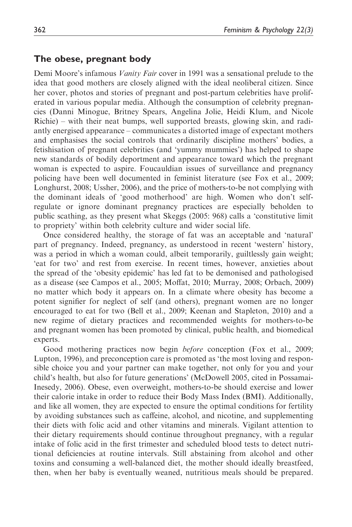#### The obese, pregnant body

Demi Moore's infamous *Vanity Fair* cover in 1991 was a sensational prelude to the idea that good mothers are closely aligned with the ideal neoliberal citizen. Since her cover, photos and stories of pregnant and post-partum celebrities have proliferated in various popular media. Although the consumption of celebrity pregnancies (Danni Minogue, Britney Spears, Angelina Jolie, Heidi Klum, and Nicole Richie) – with their neat bumps, well supported breasts, glowing skin, and radiantly energised appearance – communicates a distorted image of expectant mothers and emphasises the social controls that ordinarily discipline mothers' bodies, a fetishisation of pregnant celebrities (and 'yummy mummies') has helped to shape new standards of bodily deportment and appearance toward which the pregnant woman is expected to aspire. Foucauldian issues of surveillance and pregnancy policing have been well documented in feminist literature (see Fox et al., 2009; Longhurst, 2008; Ussher, 2006), and the price of mothers-to-be not complying with the dominant ideals of 'good motherhood' are high. Women who don't selfregulate or ignore dominant pregnancy practices are especially beholden to public scathing, as they present what Skeggs (2005: 968) calls a 'constitutive limit to propriety' within both celebrity culture and wider social life.

Once considered healthy, the storage of fat was an acceptable and 'natural' part of pregnancy. Indeed, pregnancy, as understood in recent 'western' history, was a period in which a woman could, albeit temporarily, guiltlessly gain weight; 'eat for two' and rest from exercise. In recent times, however, anxieties about the spread of the 'obesity epidemic' has led fat to be demonised and pathologised as a disease (see Campos et al., 2005; Moffat, 2010; Murray, 2008; Orbach, 2009) no matter which body it appears on. In a climate where obesity has become a potent signifier for neglect of self (and others), pregnant women are no longer encouraged to eat for two (Bell et al., 2009; Keenan and Stapleton, 2010) and a new regime of dietary practices and recommended weights for mothers-to-be and pregnant women has been promoted by clinical, public health, and biomedical experts.

Good mothering practices now begin *before* conception (Fox et al., 2009; Lupton, 1996), and preconception care is promoted as 'the most loving and responsible choice you and your partner can make together, not only for you and your child's health, but also for future generations' (McDowell 2005, cited in Possamai-Inesedy, 2006). Obese, even overweight, mothers-to-be should exercise and lower their calorie intake in order to reduce their Body Mass Index (BMI). Additionally, and like all women, they are expected to ensure the optimal conditions for fertility by avoiding substances such as caffeine, alcohol, and nicotine, and supplementing their diets with folic acid and other vitamins and minerals. Vigilant attention to their dietary requirements should continue throughout pregnancy, with a regular intake of folic acid in the first trimester and scheduled blood tests to detect nutritional deficiencies at routine intervals. Still abstaining from alcohol and other toxins and consuming a well-balanced diet, the mother should ideally breastfeed, then, when her baby is eventually weaned, nutritious meals should be prepared.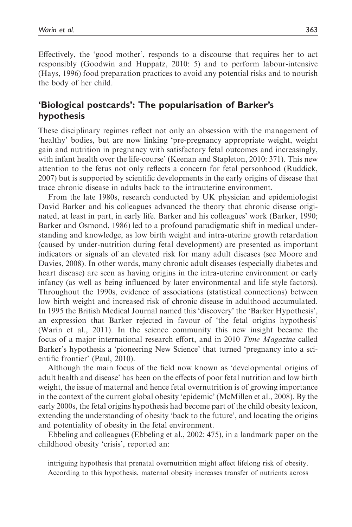Effectively, the 'good mother', responds to a discourse that requires her to act responsibly (Goodwin and Huppatz, 2010: 5) and to perform labour-intensive (Hays, 1996) food preparation practices to avoid any potential risks and to nourish the body of her child.

# 'Biological postcards': The popularisation of Barker's hypothesis

These disciplinary regimes reflect not only an obsession with the management of 'healthy' bodies, but are now linking 'pre-pregnancy appropriate weight, weight gain and nutrition in pregnancy with satisfactory fetal outcomes and increasingly, with infant health over the life-course' (Keenan and Stapleton, 2010: 371). This new attention to the fetus not only reflects a concern for fetal personhood (Ruddick, 2007) but is supported by scientific developments in the early origins of disease that trace chronic disease in adults back to the intrauterine environment.

From the late 1980s, research conducted by UK physician and epidemiologist David Barker and his colleagues advanced the theory that chronic disease originated, at least in part, in early life. Barker and his colleagues' work (Barker, 1990; Barker and Osmond, 1986) led to a profound paradigmatic shift in medical understanding and knowledge, as low birth weight and intra-uterine growth retardation (caused by under-nutrition during fetal development) are presented as important indicators or signals of an elevated risk for many adult diseases (see Moore and Davies, 2008). In other words, many chronic adult diseases (especially diabetes and heart disease) are seen as having origins in the intra-uterine environment or early infancy (as well as being influenced by later environmental and life style factors). Throughout the 1990s, evidence of associations (statistical connections) between low birth weight and increased risk of chronic disease in adulthood accumulated. In 1995 the British Medical Journal named this 'discovery' the 'Barker Hypothesis', an expression that Barker rejected in favour of 'the fetal origins hypothesis' (Warin et al., 2011). In the science community this new insight became the focus of a major international research effort, and in 2010 Time Magazine called Barker's hypothesis a 'pioneering New Science' that turned 'pregnancy into a scientific frontier' (Paul, 2010).

Although the main focus of the field now known as 'developmental origins of adult health and disease' has been on the effects of poor fetal nutrition and low birth weight, the issue of maternal and hence fetal overnutrition is of growing importance in the context of the current global obesity 'epidemic' (McMillen et al., 2008). By the early 2000s, the fetal origins hypothesis had become part of the child obesity lexicon, extending the understanding of obesity 'back to the future', and locating the origins and potentiality of obesity in the fetal environment.

Ebbeling and colleagues (Ebbeling et al., 2002: 475), in a landmark paper on the childhood obesity 'crisis', reported an:

intriguing hypothesis that prenatal overnutrition might affect lifelong risk of obesity. According to this hypothesis, maternal obesity increases transfer of nutrients across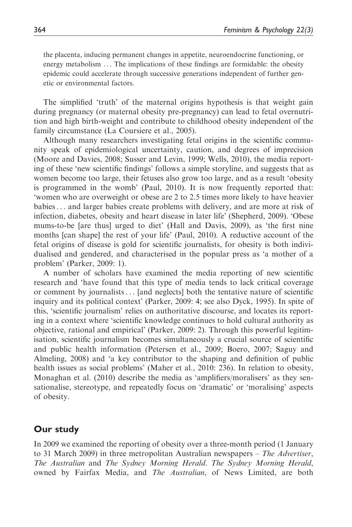the placenta, inducing permanent changes in appetite, neuroendocrine functioning, or energy metabolism ... The implications of these findings are formidable: the obesity epidemic could accelerate through successive generations independent of further genetic or environmental factors.

The simplified 'truth' of the maternal origins hypothesis is that weight gain during pregnancy (or maternal obesity pre-pregnancy) can lead to fetal overnutrition and high birth-weight and contribute to childhood obesity independent of the family circumstance (La Coursiere et al., 2005).

Although many researchers investigating fetal origins in the scientific community speak of epidemiological uncertainty, caution, and degrees of imprecision (Moore and Davies, 2008; Susser and Levin, 1999; Wells, 2010), the media reporting of these 'new scientific findings' follows a simple storyline, and suggests that as women become too large, their fetuses also grow too large, and as a result 'obesity is programmed in the womb' (Paul, 2010). It is now frequently reported that: 'women who are overweight or obese are 2 to 2.5 times more likely to have heavier babies... and larger babies create problems with delivery, and are more at risk of infection, diabetes, obesity and heart disease in later life' (Shepherd, 2009). 'Obese mums-to-be [are thus] urged to diet' (Hall and Davis, 2009), as 'the first nine months [can shape] the rest of your life' (Paul, 2010). A reductive account of the fetal origins of disease is gold for scientific journalists, for obesity is both individualised and gendered, and characterised in the popular press as 'a mother of a problem' (Parker, 2009: 1).

A number of scholars have examined the media reporting of new scientific research and 'have found that this type of media tends to lack critical coverage or comment by journalists... [and neglects] both the tentative nature of scientific inquiry and its political context' (Parker, 2009: 4; see also Dyck, 1995). In spite of this, 'scientific journalism' relies on authoritative discourse, and locates its reporting in a context where 'scientific knowledge continues to hold cultural authority as objective, rational and empirical' (Parker, 2009: 2). Through this powerful legitimisation, scientific journalism becomes simultaneously a crucial source of scientific and public health information (Petersen et al., 2009; Boero, 2007; Saguy and Almeling, 2008) and 'a key contributor to the shaping and definition of public health issues as social problems' (Maher et al., 2010: 236). In relation to obesity, Monaghan et al. (2010) describe the media as 'amplifiers/moralisers' as they sensationalise, stereotype, and repeatedly focus on 'dramatic' or 'moralising' aspects of obesity.

## Our study

In 2009 we examined the reporting of obesity over a three-month period (1 January to 31 March 2009) in three metropolitan Australian newspapers – The Advertiser, The Australian and The Sydney Morning Herald. The Sydney Morning Herald, owned by Fairfax Media, and *The Australian*, of News Limited, are both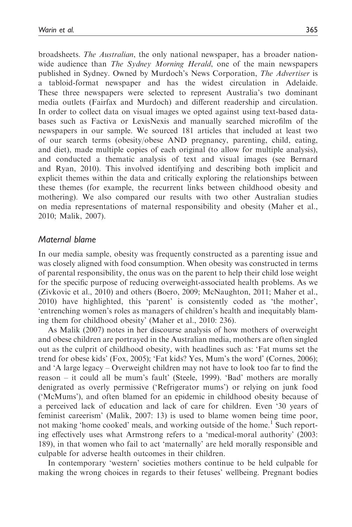broadsheets. The Australian, the only national newspaper, has a broader nationwide audience than *The Sydney Morning Herald*, one of the main newspapers published in Sydney. Owned by Murdoch's News Corporation, The Advertiser is a tabloid-format newspaper and has the widest circulation in Adelaide. These three newspapers were selected to represent Australia's two dominant media outlets (Fairfax and Murdoch) and different readership and circulation. In order to collect data on visual images we opted against using text-based databases such as Factiva or LexisNexis and manually searched microfilm of the newspapers in our sample. We sourced 181 articles that included at least two of our search terms (obesity/obese AND pregnancy, parenting, child, eating, and diet), made multiple copies of each original (to allow for multiple analysis), and conducted a thematic analysis of text and visual images (see Bernard and Ryan, 2010). This involved identifying and describing both implicit and explicit themes within the data and critically exploring the relationships between these themes (for example, the recurrent links between childhood obesity and mothering). We also compared our results with two other Australian studies on media representations of maternal responsibility and obesity (Maher et al., 2010; Malik, 2007).

#### Maternal blame

In our media sample, obesity was frequently constructed as a parenting issue and was closely aligned with food consumption. When obesity was constructed in terms of parental responsibility, the onus was on the parent to help their child lose weight for the specific purpose of reducing overweight-associated health problems. As we (Zivkovic et al., 2010) and others (Boero, 2009; McNaughton, 2011; Maher et al., 2010) have highlighted, this 'parent' is consistently coded as 'the mother', 'entrenching women's roles as managers of children's health and inequitably blaming them for childhood obesity' (Maher et al., 2010: 236).

As Malik (2007) notes in her discourse analysis of how mothers of overweight and obese children are portrayed in the Australian media, mothers are often singled out as the culprit of childhood obesity, with headlines such as: 'Fat mums set the trend for obese kids' (Fox, 2005); 'Fat kids? Yes, Mum's the word' (Cornes, 2006); and 'A large legacy – Overweight children may not have to look too far to find the reason – it could all be mum's fault' (Steele, 1999). 'Bad' mothers are morally denigrated as overly permissive ('Refrigerator mums') or relying on junk food ('McMums'), and often blamed for an epidemic in childhood obesity because of a perceived lack of education and lack of care for children. Even '30 years of feminist careerism' (Malik, 2007: 13) is used to blame women being time poor, not making 'home cooked' meals, and working outside of the home.<sup>1</sup> Such reporting effectively uses what Armstrong refers to a 'medical-moral authority' (2003: 189), in that women who fail to act 'maternally' are held morally responsible and culpable for adverse health outcomes in their children.

In contemporary 'western' societies mothers continue to be held culpable for making the wrong choices in regards to their fetuses' wellbeing. Pregnant bodies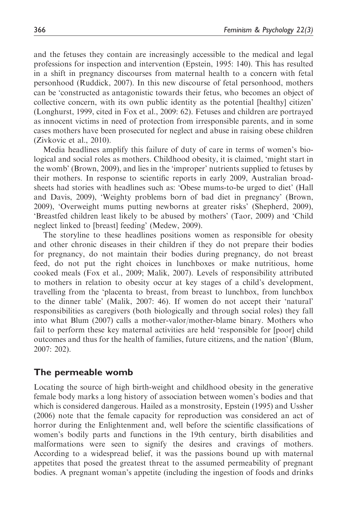and the fetuses they contain are increasingly accessible to the medical and legal professions for inspection and intervention (Epstein, 1995: 140). This has resulted in a shift in pregnancy discourses from maternal health to a concern with fetal personhood (Ruddick, 2007). In this new discourse of fetal personhood, mothers can be 'constructed as antagonistic towards their fetus, who becomes an object of collective concern, with its own public identity as the potential [healthy] citizen' (Longhurst, 1999, cited in Fox et al., 2009: 62). Fetuses and children are portrayed as innocent victims in need of protection from irresponsible parents, and in some cases mothers have been prosecuted for neglect and abuse in raising obese children (Zivkovic et al., 2010).

Media headlines amplify this failure of duty of care in terms of women's biological and social roles as mothers. Childhood obesity, it is claimed, 'might start in the womb' (Brown, 2009), and lies in the 'improper' nutrients supplied to fetuses by their mothers. In response to scientific reports in early 2009, Australian broadsheets had stories with headlines such as: 'Obese mums-to-be urged to diet' (Hall and Davis, 2009), 'Weighty problems born of bad diet in pregnancy' (Brown, 2009), 'Overweight mums putting newborns at greater risks' (Shepherd, 2009), 'Breastfed children least likely to be abused by mothers' (Taor, 2009) and 'Child neglect linked to [breast] feeding' (Medew, 2009).

The storyline to these headlines positions women as responsible for obesity and other chronic diseases in their children if they do not prepare their bodies for pregnancy, do not maintain their bodies during pregnancy, do not breast feed, do not put the right choices in lunchboxes or make nutritious, home cooked meals (Fox et al., 2009; Malik, 2007). Levels of responsibility attributed to mothers in relation to obesity occur at key stages of a child's development, travelling from the 'placenta to breast, from breast to lunchbox, from lunchbox to the dinner table' (Malik, 2007: 46). If women do not accept their 'natural' responsibilities as caregivers (both biologically and through social roles) they fall into what Blum (2007) calls a mother-valor/mother-blame binary. Mothers who fail to perform these key maternal activities are held 'responsible for [poor] child outcomes and thus for the health of families, future citizens, and the nation' (Blum, 2007: 202).

#### The permeable womb

Locating the source of high birth-weight and childhood obesity in the generative female body marks a long history of association between women's bodies and that which is considered dangerous. Hailed as a monstrosity, Epstein (1995) and Ussher (2006) note that the female capacity for reproduction was considered an act of horror during the Enlightenment and, well before the scientific classifications of women's bodily parts and functions in the 19th century, birth disabilities and malformations were seen to signify the desires and cravings of mothers. According to a widespread belief, it was the passions bound up with maternal appetites that posed the greatest threat to the assumed permeability of pregnant bodies. A pregnant woman's appetite (including the ingestion of foods and drinks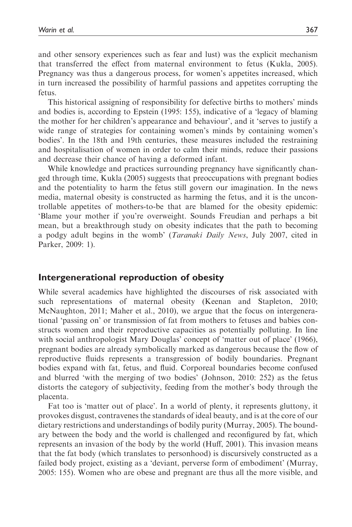and other sensory experiences such as fear and lust) was the explicit mechanism that transferred the effect from maternal environment to fetus (Kukla, 2005). Pregnancy was thus a dangerous process, for women's appetites increased, which in turn increased the possibility of harmful passions and appetites corrupting the fetus.

This historical assigning of responsibility for defective births to mothers' minds and bodies is, according to Epstein (1995: 155), indicative of a 'legacy of blaming the mother for her children's appearance and behaviour', and it 'serves to justify a wide range of strategies for containing women's minds by containing women's bodies'. In the 18th and 19th centuries, these measures included the restraining and hospitalisation of women in order to calm their minds, reduce their passions and decrease their chance of having a deformed infant.

While knowledge and practices surrounding pregnancy have significantly changed through time, Kukla (2005) suggests that preoccupations with pregnant bodies and the potentiality to harm the fetus still govern our imagination. In the news media, maternal obesity is constructed as harming the fetus, and it is the uncontrollable appetites of mothers-to-be that are blamed for the obesity epidemic: 'Blame your mother if you're overweight. Sounds Freudian and perhaps a bit mean, but a breakthrough study on obesity indicates that the path to becoming a podgy adult begins in the womb' (Taranaki Daily News, July 2007, cited in Parker, 2009: 1).

## Intergenerational reproduction of obesity

While several academics have highlighted the discourses of risk associated with such representations of maternal obesity (Keenan and Stapleton, 2010; McNaughton, 2011; Maher et al., 2010), we argue that the focus on intergenerational 'passing on' or transmission of fat from mothers to fetuses and babies constructs women and their reproductive capacities as potentially polluting. In line with social anthropologist Mary Douglas' concept of 'matter out of place' (1966), pregnant bodies are already symbolically marked as dangerous because the flow of reproductive fluids represents a transgression of bodily boundaries. Pregnant bodies expand with fat, fetus, and fluid. Corporeal boundaries become confused and blurred 'with the merging of two bodies' (Johnson, 2010: 252) as the fetus distorts the category of subjectivity, feeding from the mother's body through the placenta.

Fat too is 'matter out of place'. In a world of plenty, it represents gluttony, it provokes disgust, contravenes the standards of ideal beauty, and is at the core of our dietary restrictions and understandings of bodily purity (Murray, 2005). The boundary between the body and the world is challenged and reconfigured by fat, which represents an invasion of the body by the world (Huff, 2001). This invasion means that the fat body (which translates to personhood) is discursively constructed as a failed body project, existing as a 'deviant, perverse form of embodiment' (Murray, 2005: 155). Women who are obese and pregnant are thus all the more visible, and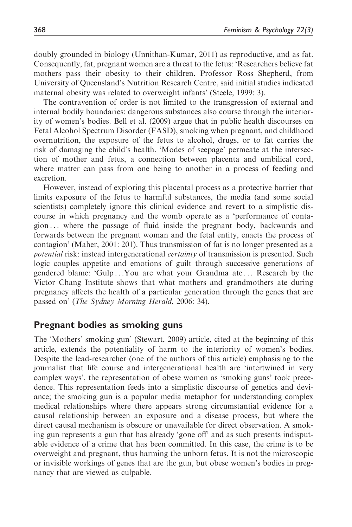doubly grounded in biology (Unnithan-Kumar, 2011) as reproductive, and as fat. Consequently, fat, pregnant women are a threat to the fetus: 'Researchers believe fat mothers pass their obesity to their children. Professor Ross Shepherd, from University of Queensland's Nutrition Research Centre, said initial studies indicated maternal obesity was related to overweight infants' (Steele, 1999: 3).

The contravention of order is not limited to the transgression of external and internal bodily boundaries: dangerous substances also course through the interiority of women's bodies. Bell et al. (2009) argue that in public health discourses on Fetal Alcohol Spectrum Disorder (FASD), smoking when pregnant, and childhood overnutrition, the exposure of the fetus to alcohol, drugs, or to fat carries the risk of damaging the child's health. 'Modes of seepage' permeate at the intersection of mother and fetus, a connection between placenta and umbilical cord, where matter can pass from one being to another in a process of feeding and excretion.

However, instead of exploring this placental process as a protective barrier that limits exposure of the fetus to harmful substances, the media (and some social scientists) completely ignore this clinical evidence and revert to a simplistic discourse in which pregnancy and the womb operate as a 'performance of contagion ... where the passage of fluid inside the pregnant body, backwards and forwards between the pregnant woman and the fetal entity, enacts the process of contagion' (Maher, 2001: 201). Thus transmission of fat is no longer presented as a potential risk: instead intergenerational *certainty* of transmission is presented. Such logic couples appetite and emotions of guilt through successive generations of gendered blame: 'Gulp ...You are what your Grandma ate ... Research by the Victor Chang Institute shows that what mothers and grandmothers ate during pregnancy affects the health of a particular generation through the genes that are passed on' (The Sydney Morning Herald, 2006: 34).

#### Pregnant bodies as smoking guns

The 'Mothers' smoking gun' (Stewart, 2009) article, cited at the beginning of this article, extends the potentiality of harm to the interiority of women's bodies. Despite the lead-researcher (one of the authors of this article) emphasising to the journalist that life course and intergenerational health are 'intertwined in very complex ways', the representation of obese women as 'smoking guns' took precedence. This representation feeds into a simplistic discourse of genetics and deviance; the smoking gun is a popular media metaphor for understanding complex medical relationships where there appears strong circumstantial evidence for a causal relationship between an exposure and a disease process, but where the direct causal mechanism is obscure or unavailable for direct observation. A smoking gun represents a gun that has already 'gone off' and as such presents indisputable evidence of a crime that has been committed. In this case, the crime is to be overweight and pregnant, thus harming the unborn fetus. It is not the microscopic or invisible workings of genes that are the gun, but obese women's bodies in pregnancy that are viewed as culpable.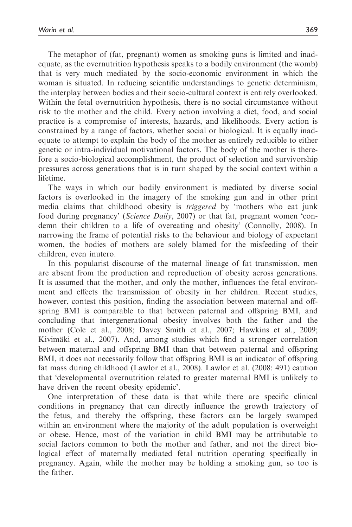The metaphor of (fat, pregnant) women as smoking guns is limited and inadequate, as the overnutrition hypothesis speaks to a bodily environment (the womb) that is very much mediated by the socio-economic environment in which the woman is situated. In reducing scientific understandings to genetic determinism, the interplay between bodies and their socio-cultural context is entirely overlooked. Within the fetal overnutrition hypothesis, there is no social circumstance without risk to the mother and the child. Every action involving a diet, food, and social practice is a compromise of interests, hazards, and likelihoods. Every action is constrained by a range of factors, whether social or biological. It is equally inadequate to attempt to explain the body of the mother as entirely reducible to either genetic or intra-individual motivational factors. The body of the mother is therefore a socio-biological accomplishment, the product of selection and survivorship pressures across generations that is in turn shaped by the social context within a lifetime.

The ways in which our bodily environment is mediated by diverse social factors is overlooked in the imagery of the smoking gun and in other print media claims that childhood obesity is triggered by 'mothers who eat junk food during pregnancy' (Science Daily, 2007) or that fat, pregnant women 'condemn their children to a life of overeating and obesity' (Connolly, 2008). In narrowing the frame of potential risks to the behaviour and biology of expectant women, the bodies of mothers are solely blamed for the misfeeding of their children, even inutero.

In this popularist discourse of the maternal lineage of fat transmission, men are absent from the production and reproduction of obesity across generations. It is assumed that the mother, and only the mother, influences the fetal environment and effects the transmission of obesity in her children. Recent studies, however, contest this position, finding the association between maternal and offspring BMI is comparable to that between paternal and offspring BMI, and concluding that intergenerational obesity involves both the father and the mother (Cole et al., 2008; Davey Smith et al., 2007; Hawkins et al., 2009; Kivimäki et al., 2007). And, among studies which find a stronger correlation between maternal and offspring BMI than that between paternal and offspring BMI, it does not necessarily follow that offspring BMI is an indicator of offspring fat mass during childhood (Lawlor et al., 2008). Lawlor et al. (2008: 491) caution that 'developmental overnutrition related to greater maternal BMI is unlikely to have driven the recent obesity epidemic'.

One interpretation of these data is that while there are specific clinical conditions in pregnancy that can directly influence the growth trajectory of the fetus, and thereby the offspring, these factors can be largely swamped within an environment where the majority of the adult population is overweight or obese. Hence, most of the variation in child BMI may be attributable to social factors common to both the mother and father, and not the direct biological effect of maternally mediated fetal nutrition operating specifically in pregnancy. Again, while the mother may be holding a smoking gun, so too is the father.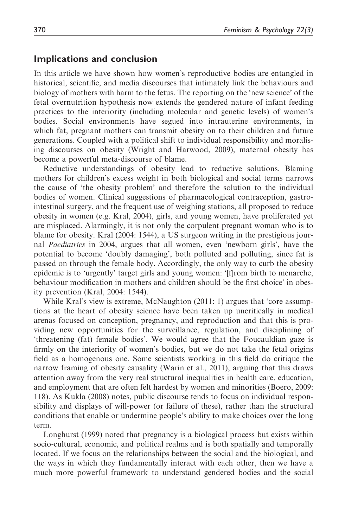#### Implications and conclusion

In this article we have shown how women's reproductive bodies are entangled in historical, scientific, and media discourses that intimately link the behaviours and biology of mothers with harm to the fetus. The reporting on the 'new science' of the fetal overnutrition hypothesis now extends the gendered nature of infant feeding practices to the interiority (including molecular and genetic levels) of women's bodies. Social environments have segued into intrauterine environments, in which fat, pregnant mothers can transmit obesity on to their children and future generations. Coupled with a political shift to individual responsibility and moralising discourses on obesity (Wright and Harwood, 2009), maternal obesity has become a powerful meta-discourse of blame.

Reductive understandings of obesity lead to reductive solutions. Blaming mothers for children's excess weight in both biological and social terms narrows the cause of 'the obesity problem' and therefore the solution to the individual bodies of women. Clinical suggestions of pharmacological contraception, gastrointestinal surgery, and the frequent use of weighing stations, all proposed to reduce obesity in women (e.g. Kral, 2004), girls, and young women, have proliferated yet are misplaced. Alarmingly, it is not only the corpulent pregnant woman who is to blame for obesity. Kral (2004: 1544), a US surgeon writing in the prestigious journal Paediatrics in 2004, argues that all women, even 'newborn girls', have the potential to become 'doubly damaging', both polluted and polluting, since fat is passed on through the female body. Accordingly, the only way to curb the obesity epidemic is to 'urgently' target girls and young women: '[f]rom birth to menarche, behaviour modification in mothers and children should be the first choice' in obesity prevention (Kral, 2004: 1544).

While Kral's view is extreme, McNaughton (2011: 1) argues that 'core assumptions at the heart of obesity science have been taken up uncritically in medical arenas focused on conception, pregnancy, and reproduction and that this is providing new opportunities for the surveillance, regulation, and disciplining of 'threatening (fat) female bodies'. We would agree that the Foucauldian gaze is firmly on the interiority of women's bodies, but we do not take the fetal origins field as a homogenous one. Some scientists working in this field do critique the narrow framing of obesity causality (Warin et al., 2011), arguing that this draws attention away from the very real structural inequalities in health care, education, and employment that are often felt hardest by women and minorities (Boero, 2009: 118). As Kukla (2008) notes, public discourse tends to focus on individual responsibility and displays of will-power (or failure of these), rather than the structural conditions that enable or undermine people's ability to make choices over the long term.

Longhurst (1999) noted that pregnancy is a biological process but exists within socio-cultural, economic, and political realms and is both spatially and temporally located. If we focus on the relationships between the social and the biological, and the ways in which they fundamentally interact with each other, then we have a much more powerful framework to understand gendered bodies and the social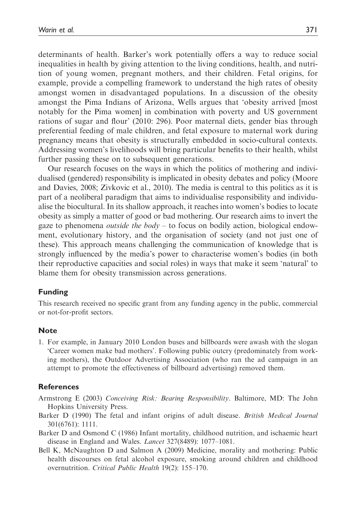determinants of health. Barker's work potentially offers a way to reduce social inequalities in health by giving attention to the living conditions, health, and nutrition of young women, pregnant mothers, and their children. Fetal origins, for example, provide a compelling framework to understand the high rates of obesity amongst women in disadvantaged populations. In a discussion of the obesity amongst the Pima Indians of Arizona, Wells argues that 'obesity arrived [most notably for the Pima women] in combination with poverty and US government rations of sugar and flour' (2010: 296). Poor maternal diets, gender bias through preferential feeding of male children, and fetal exposure to maternal work during pregnancy means that obesity is structurally embedded in socio-cultural contexts. Addressing women's livelihoods will bring particular benefits to their health, whilst further passing these on to subsequent generations.

Our research focuses on the ways in which the politics of mothering and individualised (gendered) responsibility is implicated in obesity debates and policy (Moore and Davies, 2008; Zivkovic et al., 2010). The media is central to this politics as it is part of a neoliberal paradigm that aims to individualise responsibility and individualise the biocultural. In its shallow approach, it reaches into women's bodies to locate obesity as simply a matter of good or bad mothering. Our research aims to invert the gaze to phenomena *outside the body* – to focus on bodily action, biological endowment, evolutionary history, and the organisation of society (and not just one of these). This approach means challenging the communication of knowledge that is strongly influenced by the media's power to characterise women's bodies (in both their reproductive capacities and social roles) in ways that make it seem 'natural' to blame them for obesity transmission across generations.

#### Funding

This research received no specific grant from any funding agency in the public, commercial or not-for-profit sectors.

#### Note

1. For example, in January 2010 London buses and billboards were awash with the slogan 'Career women make bad mothers'. Following public outcry (predominately from working mothers), the Outdoor Advertising Association (who ran the ad campaign in an attempt to promote the effectiveness of billboard advertising) removed them.

#### References

- Armstrong E (2003) Conceiving Risk: Bearing Responsibility. Baltimore, MD: The John Hopkins University Press.
- Barker D (1990) The fetal and infant origins of adult disease. British Medical Journal 301(6761): 1111.
- Barker D and Osmond C (1986) Infant mortality, childhood nutrition, and ischaemic heart disease in England and Wales. Lancet 327(8489): 1077–1081.
- Bell K, McNaughton D and Salmon A (2009) Medicine, morality and mothering: Public health discourses on fetal alcohol exposure, smoking around children and childhood overnutrition. Critical Public Health 19(2): 155–170.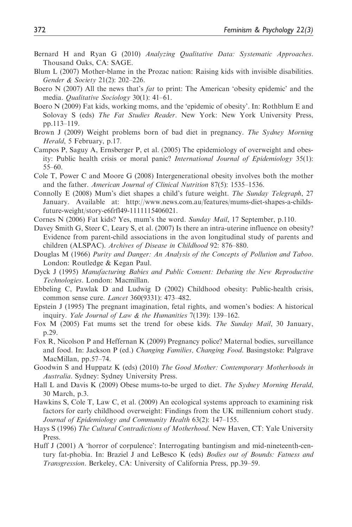- Bernard H and Ryan G (2010) Analyzing Qualitative Data: Systematic Approaches. Thousand Oaks, CA: SAGE.
- Blum L (2007) Mother-blame in the Prozac nation: Raising kids with invisible disabilities. Gender & Society 21(2): 202–226.
- Boero N (2007) All the news that's fat to print: The American 'obesity epidemic' and the media. Qualitative Sociology 30(1): 41–61.
- Boero N (2009) Fat kids, working moms, and the 'epidemic of obesity'. In: Rothblum E and Solovay S (eds) The Fat Studies Reader. New York: New York University Press, pp.113–119.
- Brown J (2009) Weight problems born of bad diet in pregnancy. The Sydney Morning Herald, 5 February, p.17.
- Campos P, Saguy A, Ernsberger P, et al. (2005) The epidemiology of overweight and obesity: Public health crisis or moral panic? International Journal of Epidemiology 35(1): 55–60.
- Cole T, Power C and Moore G (2008) Intergenerational obesity involves both the mother and the father. American Journal of Clinical Nutrition 87(5): 1535–1536.
- Connolly E (2008) Mum's diet shapes a child's future weight. The Sunday Telegraph, 27 January. Available at: http://www.news.com.au/features/mums-diet-shapes-a-childsfuture-weight/story-e6frfl49-1111115406021.
- Cornes N (2006) Fat kids? Yes, mum's the word. Sunday Mail, 17 September, p.110.
- Davey Smith G, Steer C, Leary S, et al. (2007) Is there an intra-uterine influence on obesity? Evidence from parent-child associations in the avon longitudinal study of parents and children (ALSPAC). Archives of Disease in Childhood 92: 876–880.
- Douglas M (1966) Purity and Danger: An Analysis of the Concepts of Pollution and Taboo. London: Routledge & Kegan Paul.
- Dyck J (1995) Manufacturing Babies and Public Consent: Debating the New Reproductive Technologies. London: Macmillan.
- Ebbeling C, Pawlak D and Ludwig D (2002) Childhood obesity: Public-health crisis, common sense cure. Lancet 360(9331): 473–482.
- Epstein J (1995) The pregnant imagination, fetal rights, and women's bodies: A historical inquiry. Yale Journal of Law & the Humanities 7(139): 139–162.
- Fox M (2005) Fat mums set the trend for obese kids. The Sunday Mail, 30 January, p.29.
- Fox R, Nicolson P and Heffernan K (2009) Pregnancy police? Maternal bodies, surveillance and food. In: Jackson P (ed.) Changing Families, Changing Food. Basingstoke: Palgrave MacMillan, pp.57–74.
- Goodwin S and Huppatz K (eds) (2010) The Good Mother: Contemporary Motherhoods in Australia. Sydney: Sydney University Press.
- Hall L and Davis K (2009) Obese mums-to-be urged to diet. The Sydney Morning Herald, 30 March, p.3.
- Hawkins S, Cole T, Law C, et al. (2009) An ecological systems approach to examining risk factors for early childhood overweight: Findings from the UK millennium cohort study. Journal of Epidemiology and Community Health 63(2): 147–155.
- Hays S (1996) The Cultural Contradictions of Motherhood. New Haven, CT: Yale University Press.
- Huff J (2001) A 'horror of corpulence': Interrogating bantingism and mid-nineteenth-century fat-phobia. In: Braziel J and LeBesco K (eds) Bodies out of Bounds: Fatness and Transgression. Berkeley, CA: University of California Press, pp.39–59.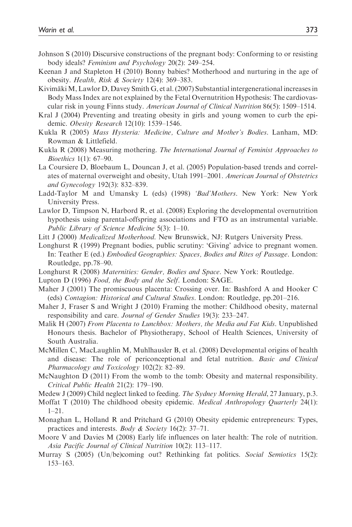- Johnson S (2010) Discursive constructions of the pregnant body: Conforming to or resisting body ideals? Feminism and Psychology 20(2): 249–254.
- Keenan J and Stapleton H (2010) Bonny babies? Motherhood and nurturing in the age of obesity. Health, Risk & Society 12(4): 369–383.
- Kivimäki M, Lawlor D, Davey Smith G, et al. (2007) Substantial intergenerational increases in Body Mass Index are not explained by the Fetal Overnutrition Hypothesis: The cardiovascular risk in young Finns study. American Journal of Clinical Nutrition 86(5): 1509–1514.
- Kral J (2004) Preventing and treating obesity in girls and young women to curb the epidemic. Obesity Research 12(10): 1539–1546.
- Kukla R (2005) Mass Hysteria: Medicine, Culture and Mother's Bodies. Lanham, MD: Rowman & Littlefield.
- Kukla R (2008) Measuring mothering. The International Journal of Feminist Approaches to Bioethics 1(1): 67–90.
- La Coursiere D, Bloebaum L, Douncan J, et al. (2005) Population-based trends and correlates of maternal overweight and obesity, Utah 1991–2001. American Journal of Obstetrics and Gynecology 192(3): 832–839.
- Ladd-Taylor M and Umansky L (eds) (1998) 'Bad'Mothers. New York: New York University Press.
- Lawlor D, Timpson N, Harbord R, et al. (2008) Exploring the developmental overnutrition hypothesis using parental-offspring associations and FTO as an instrumental variable. Public Library of Science Medicine 5(3): 1–10.
- Litt J (2000) Medicalized Motherhood. New Brunswick, NJ: Rutgers University Press.
- Longhurst R (1999) Pregnant bodies, public scrutiny: 'Giving' advice to pregnant women. In: Teather E (ed.) Embodied Geographies: Spaces, Bodies and Rites of Passage. London: Routledge, pp.78–90.
- Longhurst R (2008) Maternities: Gender, Bodies and Space. New York: Routledge.
- Lupton D (1996) Food, the Body and the Self. London: SAGE.
- Maher J (2001) The promiscuous placenta: Crossing over. In: Bashford A and Hooker C (eds) Contagion: Historical and Cultural Studies. London: Routledge, pp.201–216.
- Maher J, Fraser S and Wright J (2010) Framing the mother: Childhood obesity, maternal responsibility and care. Journal of Gender Studies 19(3): 233–247.
- Malik H (2007) From Placenta to Lunchbox: Mothers, the Media and Fat Kids. Unpublished Honours thesis. Bachelor of Physiotherapy, School of Health Sciences, University of South Australia.
- McMillen C, MacLaughlin M, Muhlhausler B, et al. (2008) Developmental origins of health and disease: The role of periconceptional and fetal nutrition. Basic and Clinical Pharmacology and Toxicology 102(2): 82–89.
- McNaughton D (2011) From the womb to the tomb: Obesity and maternal responsibility. Critical Public Health 21(2): 179–190.
- Medew J (2009) Child neglect linked to feeding. The Sydney Morning Herald, 27 January, p.3.
- Moffat T (2010) The childhood obesity epidemic. Medical Anthropology Quarterly 24(1):  $1-21$ .
- Monaghan L, Holland R and Pritchard G (2010) Obesity epidemic entrepreneurs: Types, practices and interests. Body & Society 16(2): 37–71.
- Moore V and Davies M (2008) Early life influences on later health: The role of nutrition. Asia Pacific Journal of Clinical Nutrition 10(2): 113–117.
- Murray S (2005) (Un/be)coming out? Rethinking fat politics. Social Semiotics 15(2): 153–163.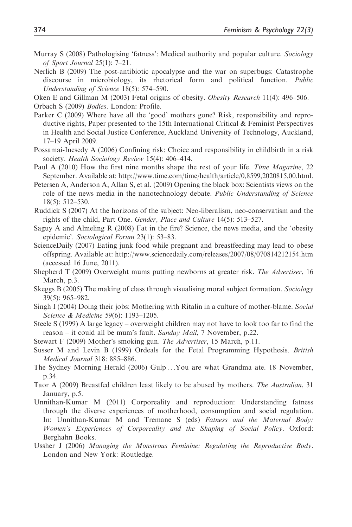- Murray S (2008) Pathologising 'fatness': Medical authority and popular culture. Sociology of Sport Journal 25(1): 7–21.
- Nerlich B (2009) The post-antibiotic apocalypse and the war on superbugs: Catastrophe discourse in microbiology, its rhetorical form and political function. *Public* Understanding of Science 18(5): 574–590.

Oken E and Gillman M (2003) Fetal origins of obesity. Obesity Research 11(4): 496–506.

Orbach S (2009) Bodies. London: Profile.

- Parker C (2009) Where have all the 'good' mothers gone? Risk, responsibility and reproductive rights, Paper presented to the 15th International Critical & Feminist Perspectives in Health and Social Justice Conference, Auckland University of Technology, Auckland, 17–19 April 2009.
- Possamai-Inesedy A (2006) Confining risk: Choice and responsibility in childbirth in a risk society. Health Sociology Review 15(4): 406-414.
- Paul A (2010) How the first nine months shape the rest of your life. Time Magazine, 22 September. Available at: http://www.time.com/time/health/article/0,8599,2020815,00.html.
- Petersen A, Anderson A, Allan S, et al. (2009) Opening the black box: Scientists views on the role of the news media in the nanotechnology debate. Public Understanding of Science 18(5): 512–530.
- Ruddick S (2007) At the horizons of the subject: Neo-liberalism, neo-conservatism and the rights of the child, Part One. Gender, Place and Culture 14(5): 513–527.
- Saguy A and Almeling R (2008) Fat in the fire? Science, the news media, and the 'obesity epidemic'. Sociological Forum 23(1): 53–83.
- ScienceDaily (2007) Eating junk food while pregnant and breastfeeding may lead to obese offspring. Available at: http://www.sciencedaily.com/releases/2007/08/070814212154.htm (accessed 16 June, 2011).
- Shepherd T (2009) Overweight mums putting newborns at greater risk. The Advertiser, 16 March, p.3.
- Skeggs B (2005) The making of class through visualising moral subject formation. Sociology 39(5): 965–982.
- Singh I (2004) Doing their jobs: Mothering with Ritalin in a culture of mother-blame. Social Science & Medicine 59(6): 1193–1205.
- Steele S (1999) A large legacy overweight children may not have to look too far to find the reason – it could all be mum's fault. Sunday Mail, 7 November, p.22.
- Stewart F (2009) Mother's smoking gun. The Advertiser, 15 March, p.11.
- Susser M and Levin B (1999) Ordeals for the Fetal Programming Hypothesis. British Medical Journal 318: 885–886.
- The Sydney Morning Herald (2006) Gulp ...You are what Grandma ate. 18 November, p.34.
- Taor A (2009) Breastfed children least likely to be abused by mothers. The Australian, 31 January, p.5.
- Unnithan-Kumar M (2011) Corporeality and reproduction: Understanding fatness through the diverse experiences of motherhood, consumption and social regulation. In: Unnithan-Kumar M and Tremane S (eds) Fatness and the Maternal Body: Women's Experiences of Corporeality and the Shaping of Social Policy. Oxford: Berghahn Books.
- Ussher J (2006) Managing the Monstrous Feminine: Regulating the Reproductive Body. London and New York: Routledge.